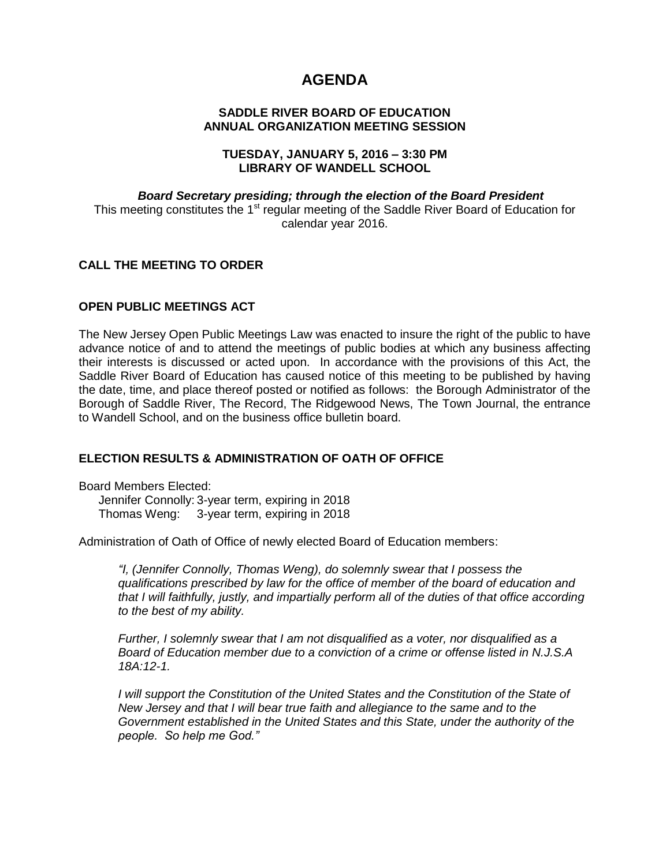# **AGENDA**

#### **SADDLE RIVER BOARD OF EDUCATION ANNUAL ORGANIZATION MEETING SESSION**

#### **TUESDAY, JANUARY 5, 2016 – 3:30 PM LIBRARY OF WANDELL SCHOOL**

#### *Board Secretary presiding; through the election of the Board President* This meeting constitutes the 1<sup>st</sup> regular meeting of the Saddle River Board of Education for calendar year 2016.

## **CALL THE MEETING TO ORDER**

#### **OPEN PUBLIC MEETINGS ACT**

The New Jersey Open Public Meetings Law was enacted to insure the right of the public to have advance notice of and to attend the meetings of public bodies at which any business affecting their interests is discussed or acted upon. In accordance with the provisions of this Act, the Saddle River Board of Education has caused notice of this meeting to be published by having the date, time, and place thereof posted or notified as follows: the Borough Administrator of the Borough of Saddle River, The Record, The Ridgewood News, The Town Journal, the entrance to Wandell School, and on the business office bulletin board.

#### **ELECTION RESULTS & ADMINISTRATION OF OATH OF OFFICE**

Board Members Elected: Jennifer Connolly: 3-year term, expiring in 2018 Thomas Weng: 3-year term, expiring in 2018

Administration of Oath of Office of newly elected Board of Education members:

*"I, (Jennifer Connolly, Thomas Weng), do solemnly swear that I possess the qualifications prescribed by law for the office of member of the board of education and that I will faithfully, justly, and impartially perform all of the duties of that office according to the best of my ability.* 

*Further, I solemnly swear that I am not disqualified as a voter, nor disqualified as a Board of Education member due to a conviction of a crime or offense listed in N.J.S.A 18A:12-1.*

*I will support the Constitution of the United States and the Constitution of the State of New Jersey and that I will bear true faith and allegiance to the same and to the Government established in the United States and this State, under the authority of the people. So help me God."*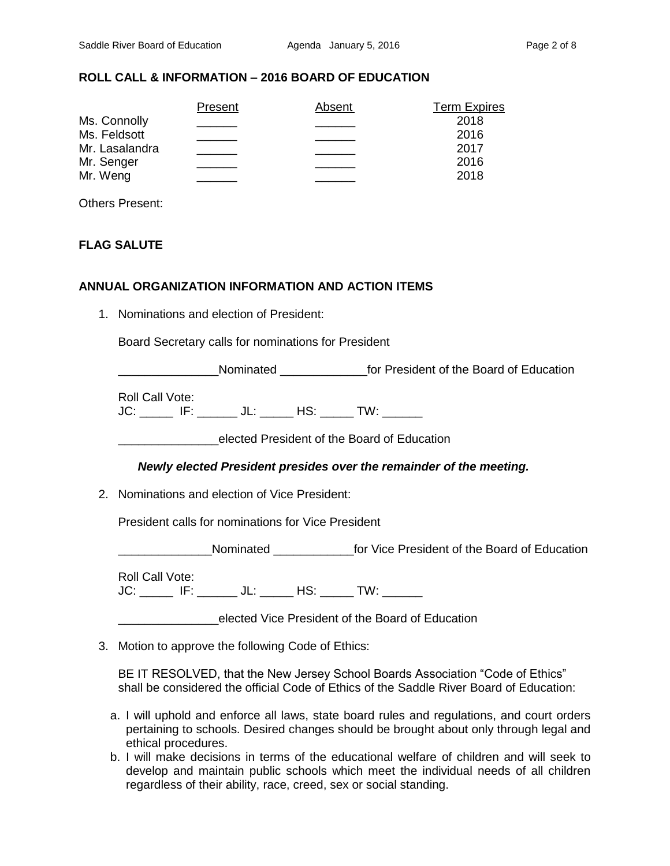#### **ROLL CALL & INFORMATION – 2016 BOARD OF EDUCATION**

|                | Present | Absent | <b>Term Expires</b> |
|----------------|---------|--------|---------------------|
| Ms. Connolly   |         |        | 2018                |
| Ms. Feldsott   |         |        | 2016                |
| Mr. Lasalandra |         |        | 2017                |
| Mr. Senger     |         |        | 2016                |
| Mr. Weng       |         |        | 2018                |

Others Present:

#### **FLAG SALUTE**

#### **ANNUAL ORGANIZATION INFORMATION AND ACTION ITEMS**

1. Nominations and election of President:

Board Secretary calls for nominations for President

**Nominated Nominated Nominated Resident of the Board of Education** 

Roll Call Vote: JC: \_\_\_\_\_ IF: \_\_\_\_\_\_ JL: \_\_\_\_\_ HS: \_\_\_\_\_ TW: \_\_\_\_\_\_

\_\_\_\_\_\_\_\_\_\_\_\_\_\_\_elected President of the Board of Education

#### *Newly elected President presides over the remainder of the meeting.*

2. Nominations and election of Vice President:

President calls for nominations for Vice President

Nominated The Vice President of the Board of Education

Roll Call Vote: JC: \_\_\_\_\_ IF: \_\_\_\_\_\_ JL: \_\_\_\_\_ HS: \_\_\_\_\_ TW: \_\_\_\_\_\_

\_\_\_\_\_\_\_\_\_\_\_\_\_\_\_elected Vice President of the Board of Education

3. Motion to approve the following Code of Ethics:

BE IT RESOLVED, that the New Jersey School Boards Association "Code of Ethics" shall be considered the official Code of Ethics of the Saddle River Board of Education:

- a. I will uphold and enforce all laws, state board rules and regulations, and court orders pertaining to schools. Desired changes should be brought about only through legal and ethical procedures.
- b. I will make decisions in terms of the educational welfare of children and will seek to develop and maintain public schools which meet the individual needs of all children regardless of their ability, race, creed, sex or social standing.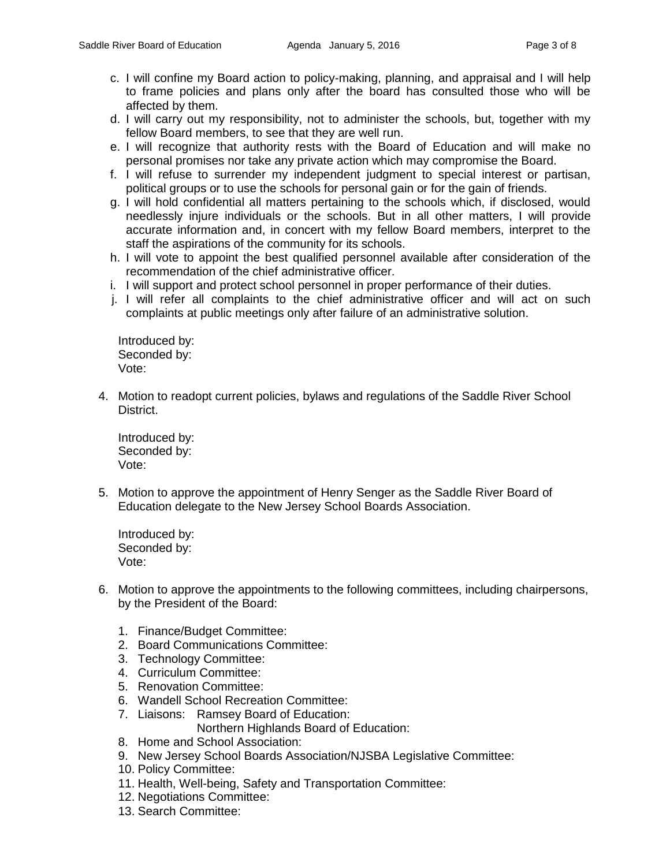- c. I will confine my Board action to policy-making, planning, and appraisal and I will help to frame policies and plans only after the board has consulted those who will be affected by them.
- d. I will carry out my responsibility, not to administer the schools, but, together with my fellow Board members, to see that they are well run.
- e. I will recognize that authority rests with the Board of Education and will make no personal promises nor take any private action which may compromise the Board.
- f. I will refuse to surrender my independent judgment to special interest or partisan, political groups or to use the schools for personal gain or for the gain of friends.
- g. I will hold confidential all matters pertaining to the schools which, if disclosed, would needlessly injure individuals or the schools. But in all other matters, I will provide accurate information and, in concert with my fellow Board members, interpret to the staff the aspirations of the community for its schools.
- h. I will vote to appoint the best qualified personnel available after consideration of the recommendation of the chief administrative officer.
- i. I will support and protect school personnel in proper performance of their duties.
- j. I will refer all complaints to the chief administrative officer and will act on such complaints at public meetings only after failure of an administrative solution.

Introduced by: Seconded by: Vote:

4. Motion to readopt current policies, bylaws and regulations of the Saddle River School District.

Introduced by: Seconded by: Vote:

5. Motion to approve the appointment of Henry Senger as the Saddle River Board of Education delegate to the New Jersey School Boards Association.

Introduced by: Seconded by: Vote:

- 6. Motion to approve the appointments to the following committees, including chairpersons, by the President of the Board:
	- 1. Finance/Budget Committee:
	- 2. Board Communications Committee:
	- 3. Technology Committee:
	- 4. Curriculum Committee:
	- 5. Renovation Committee:
	- 6. Wandell School Recreation Committee:
	- 7. Liaisons: Ramsey Board of Education:

Northern Highlands Board of Education:

- 8. Home and School Association:
- 9. New Jersey School Boards Association/NJSBA Legislative Committee:
- 10. Policy Committee:
- 11. Health, Well-being, Safety and Transportation Committee:
- 12. Negotiations Committee:
- 13. Search Committee: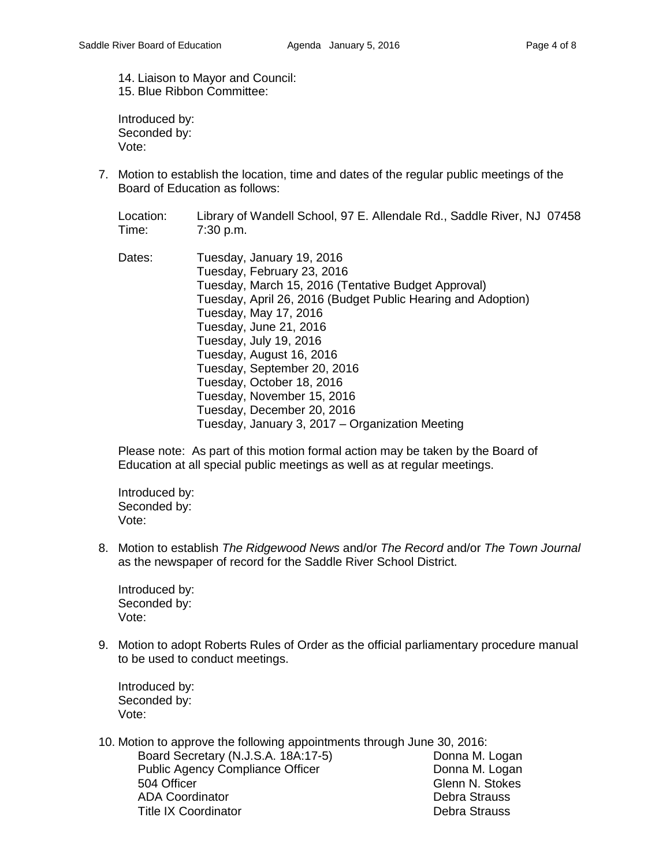14. Liaison to Mayor and Council: 15. Blue Ribbon Committee:

Introduced by: Seconded by: Vote:

- 7. Motion to establish the location, time and dates of the regular public meetings of the Board of Education as follows:
	- Location: Library of Wandell School, 97 E. Allendale Rd., Saddle River, NJ 07458 Time: 7:30 p.m.
	- Dates: Tuesday, January 19, 2016 Tuesday, February 23, 2016 Tuesday, March 15, 2016 (Tentative Budget Approval) Tuesday, April 26, 2016 (Budget Public Hearing and Adoption) Tuesday, May 17, 2016 Tuesday, June 21, 2016 Tuesday, July 19, 2016 Tuesday, August 16, 2016 Tuesday, September 20, 2016 Tuesday, October 18, 2016 Tuesday, November 15, 2016 Tuesday, December 20, 2016 Tuesday, January 3, 2017 – Organization Meeting

Please note: As part of this motion formal action may be taken by the Board of Education at all special public meetings as well as at regular meetings.

Introduced by: Seconded by: Vote:

8. Motion to establish *The Ridgewood News* and/or *The Record* and/or *The Town Journal* as the newspaper of record for the Saddle River School District.

Introduced by: Seconded by: Vote:

9. Motion to adopt Roberts Rules of Order as the official parliamentary procedure manual to be used to conduct meetings.

Introduced by: Seconded by: Vote:

10. Motion to approve the following appointments through June 30, 2016: Board Secretary (N.J.S.A. 18A:17-5) Donna M. Logan Public Agency Compliance Officer **Donna M. Logan** 504 Officer Glenn N. Stokes ADA Coordinator Debra Strauss Title IX Coordinator **Debra Strauss** Debra Strauss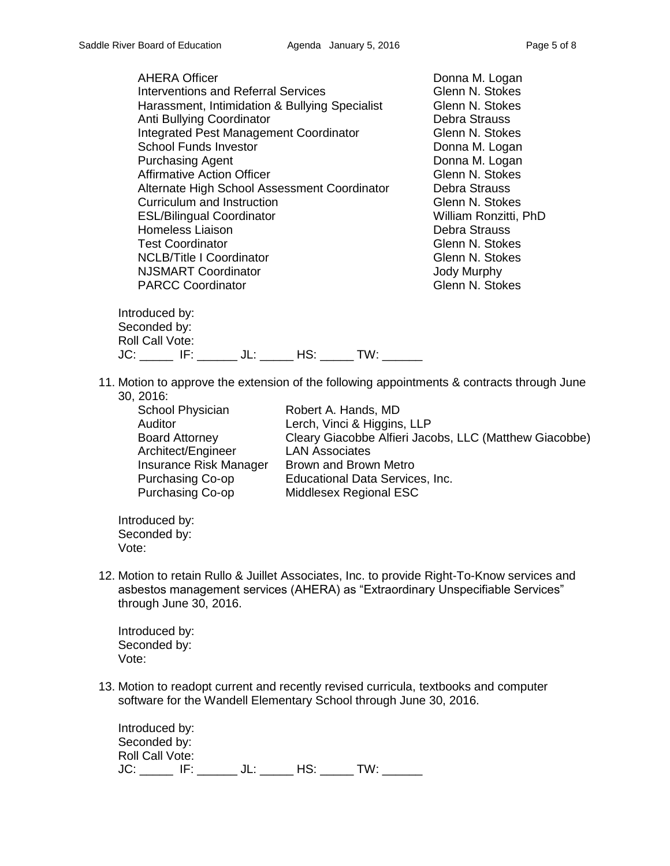| <b>AHERA Officer</b><br><b>Interventions and Referral Services</b><br>Harassment, Intimidation & Bullying Specialist<br>Anti Bullying Coordinator<br><b>Integrated Pest Management Coordinator</b><br><b>School Funds Investor</b><br><b>Purchasing Agent</b><br><b>Affirmative Action Officer</b><br>Alternate High School Assessment Coordinator<br>Curriculum and Instruction<br><b>ESL/Bilingual Coordinator</b><br><b>Homeless Liaison</b><br><b>Test Coordinator</b> | Donna M. Logan<br>Glenn N. Stokes<br>Glenn N. Stokes<br>Debra Strauss<br>Glenn N. Stokes<br>Donna M. Logan<br>Donna M. Logan<br>Glenn N. Stokes<br>Debra Strauss<br>Glenn N. Stokes<br>William Ronzitti, PhD<br>Debra Strauss<br>Glenn N. Stokes<br>Glenn N. Stokes |
|----------------------------------------------------------------------------------------------------------------------------------------------------------------------------------------------------------------------------------------------------------------------------------------------------------------------------------------------------------------------------------------------------------------------------------------------------------------------------|---------------------------------------------------------------------------------------------------------------------------------------------------------------------------------------------------------------------------------------------------------------------|
| <b>NCLB/Title I Coordinator</b><br><b>NJSMART Coordinator</b><br><b>PARCC Coordinator</b>                                                                                                                                                                                                                                                                                                                                                                                  | <b>Jody Murphy</b><br>Glenn N. Stokes                                                                                                                                                                                                                               |

Introduced by: Seconded by: Roll Call Vote: JC: \_\_\_\_\_ IF: \_\_\_\_\_\_ JL: \_\_\_\_\_ HS: \_\_\_\_\_ TW: \_\_\_\_\_\_

11. Motion to approve the extension of the following appointments & contracts through June 30, 2016:

| School Physician        | Robert A. Hands, MD                                    |
|-------------------------|--------------------------------------------------------|
| Auditor                 | Lerch, Vinci & Higgins, LLP                            |
| <b>Board Attorney</b>   | Cleary Giacobbe Alfieri Jacobs, LLC (Matthew Giacobbe) |
| Architect/Engineer      | <b>LAN Associates</b>                                  |
| Insurance Risk Manager  | Brown and Brown Metro                                  |
| <b>Purchasing Co-op</b> | Educational Data Services, Inc.                        |
| Purchasing Co-op        | Middlesex Regional ESC                                 |
|                         |                                                        |

Introduced by: Seconded by: Vote:

12. Motion to retain Rullo & Juillet Associates, Inc. to provide Right-To-Know services and asbestos management services (AHERA) as "Extraordinary Unspecifiable Services" through June 30, 2016.

Introduced by: Seconded by: Vote:

13. Motion to readopt current and recently revised curricula, textbooks and computer software for the Wandell Elementary School through June 30, 2016.

Introduced by: Seconded by: Roll Call Vote: JC: \_\_\_\_\_\_ IF: \_\_\_\_\_\_ JL: \_\_\_\_\_ HS: \_\_\_\_\_ TW: \_\_\_\_\_\_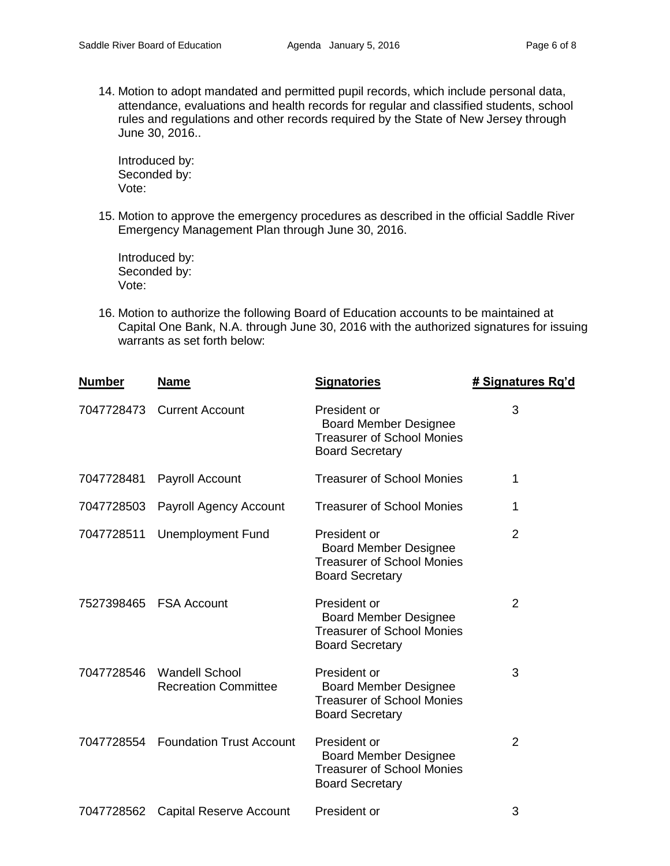14. Motion to adopt mandated and permitted pupil records, which include personal data, attendance, evaluations and health records for regular and classified students, school rules and regulations and other records required by the State of New Jersey through June 30, 2016..

Introduced by: Seconded by: Vote:

15. Motion to approve the emergency procedures as described in the official Saddle River Emergency Management Plan through June 30, 2016.

Introduced by: Seconded by: Vote:

16. Motion to authorize the following Board of Education accounts to be maintained at Capital One Bank, N.A. through June 30, 2016 with the authorized signatures for issuing warrants as set forth below:

| <b>Number</b> | <b>Name</b>                                          | <b>Signatories</b>                                                                                          | # Signatures Rq'd |
|---------------|------------------------------------------------------|-------------------------------------------------------------------------------------------------------------|-------------------|
| 7047728473    | <b>Current Account</b>                               | President or<br><b>Board Member Designee</b><br><b>Treasurer of School Monies</b><br><b>Board Secretary</b> | 3                 |
| 7047728481    | Payroll Account                                      | <b>Treasurer of School Monies</b>                                                                           | 1                 |
| 7047728503    | Payroll Agency Account                               | <b>Treasurer of School Monies</b>                                                                           | 1                 |
| 7047728511    | <b>Unemployment Fund</b>                             | President or<br><b>Board Member Designee</b><br><b>Treasurer of School Monies</b><br><b>Board Secretary</b> | $\overline{2}$    |
| 7527398465    | <b>FSA Account</b>                                   | President or<br><b>Board Member Designee</b><br><b>Treasurer of School Monies</b><br><b>Board Secretary</b> | $\overline{2}$    |
| 7047728546    | <b>Wandell School</b><br><b>Recreation Committee</b> | President or<br><b>Board Member Designee</b><br><b>Treasurer of School Monies</b><br><b>Board Secretary</b> | 3                 |
|               | 7047728554 Foundation Trust Account                  | President or<br><b>Board Member Designee</b><br><b>Treasurer of School Monies</b><br><b>Board Secretary</b> | $\overline{2}$    |
| 7047728562    | <b>Capital Reserve Account</b>                       | President or                                                                                                | 3                 |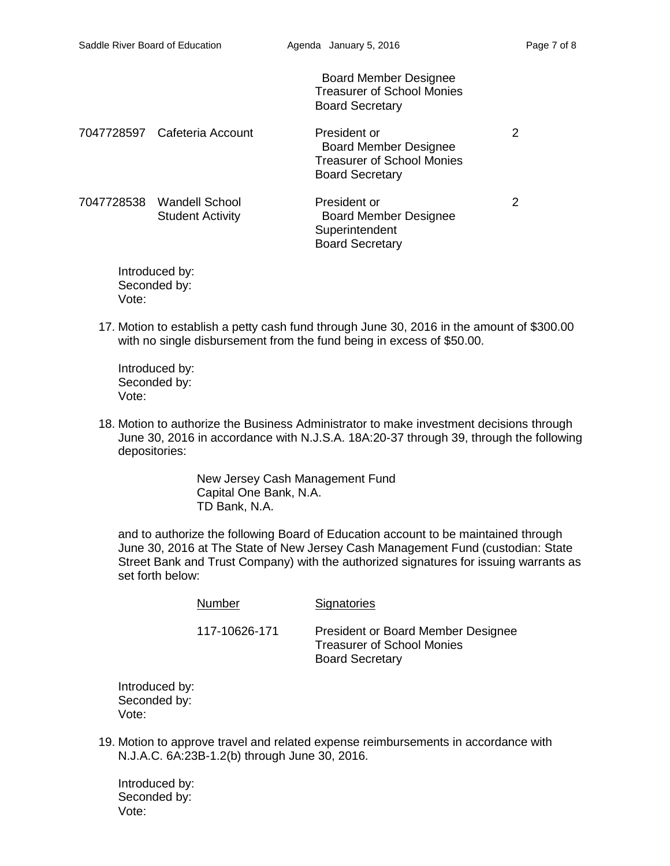Board Member Designee Treasurer of School Monies Board Secretary

| 7047728597 Cafeteria Account                         | President or<br><b>Board Member Designee</b><br><b>Treasurer of School Monies</b><br><b>Board Secretary</b> | 2 |
|------------------------------------------------------|-------------------------------------------------------------------------------------------------------------|---|
| 7047728538 Wandell School<br><b>Student Activity</b> | President or<br><b>Board Member Designee</b><br>Superintendent                                              | 2 |

Introduced by: Seconded by: Vote:

17. Motion to establish a petty cash fund through June 30, 2016 in the amount of \$300.00 with no single disbursement from the fund being in excess of \$50.00.

Board Secretary

Introduced by: Seconded by: Vote:

18. Motion to authorize the Business Administrator to make investment decisions through June 30, 2016 in accordance with N.J.S.A. 18A:20-37 through 39, through the following depositories:

> New Jersey Cash Management Fund Capital One Bank, N.A. TD Bank, N.A.

and to authorize the following Board of Education account to be maintained through June 30, 2016 at The State of New Jersey Cash Management Fund (custodian: State Street Bank and Trust Company) with the authorized signatures for issuing warrants as set forth below:

| Number        | Signatories                                                                                              |
|---------------|----------------------------------------------------------------------------------------------------------|
| 117-10626-171 | <b>President or Board Member Designee</b><br><b>Treasurer of School Monies</b><br><b>Board Secretary</b> |

Introduced by: Seconded by: Vote:

19. Motion to approve travel and related expense reimbursements in accordance with N.J.A.C. 6A:23B-1.2(b) through June 30, 2016.

Introduced by: Seconded by: Vote: